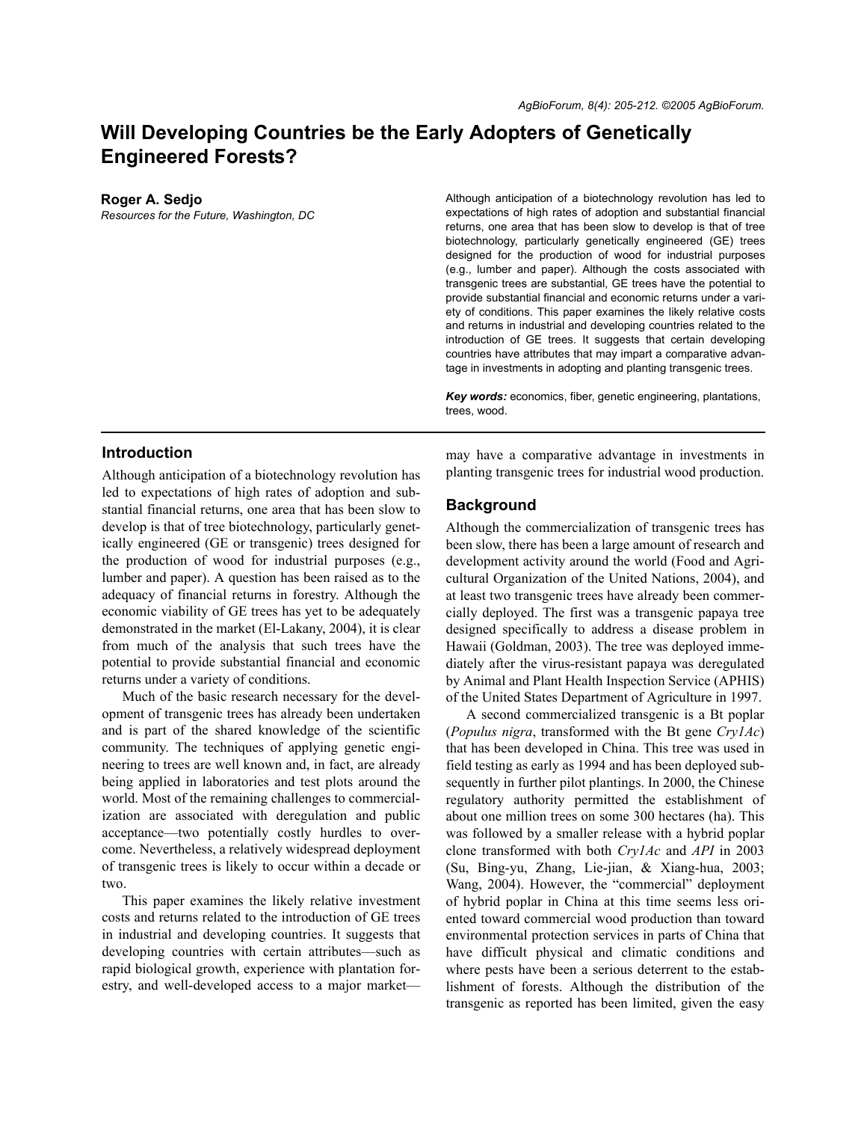# **Will Developing Countries be the Early Adopters of Genetically Engineered Forests?**

#### **Roger A. Sedjo**

*Resources for the Future, Washington, DC*

Although anticipation of a biotechnology revolution has led to expectations of high rates of adoption and substantial financial returns, one area that has been slow to develop is that of tree biotechnology, particularly genetically engineered (GE) trees designed for the production of wood for industrial purposes (e.g., lumber and paper). Although the costs associated with transgenic trees are substantial, GE trees have the potential to provide substantial financial and economic returns under a variety of conditions. This paper examines the likely relative costs and returns in industrial and developing countries related to the introduction of GE trees. It suggests that certain developing countries have attributes that may impart a comparative advantage in investments in adopting and planting transgenic trees.

*Key words:* economics, fiber, genetic engineering, plantations, trees, wood.

### **Introduction**

Although anticipation of a biotechnology revolution has led to expectations of high rates of adoption and substantial financial returns, one area that has been slow to develop is that of tree biotechnology, particularly genetically engineered (GE or transgenic) trees designed for the production of wood for industrial purposes (e.g., lumber and paper). A question has been raised as to the adequacy of financial returns in forestry. Although the economic viability of GE trees has yet to be adequately demonstrated in the market (El-Lakany, 2004), it is clear from much of the analysis that such trees have the potential to provide substantial financial and economic returns under a variety of conditions.

Much of the basic research necessary for the development of transgenic trees has already been undertaken and is part of the shared knowledge of the scientific community. The techniques of applying genetic engineering to trees are well known and, in fact, are already being applied in laboratories and test plots around the world. Most of the remaining challenges to commercialization are associated with deregulation and public acceptance—two potentially costly hurdles to overcome. Nevertheless, a relatively widespread deployment of transgenic trees is likely to occur within a decade or two.

This paper examines the likely relative investment costs and returns related to the introduction of GE trees in industrial and developing countries. It suggests that developing countries with certain attributes—such as rapid biological growth, experience with plantation forestry, and well-developed access to a major marketmay have a comparative advantage in investments in planting transgenic trees for industrial wood production.

### **Background**

Although the commercialization of transgenic trees has been slow, there has been a large amount of research and development activity around the world (Food and Agricultural Organization of the United Nations, 2004), and at least two transgenic trees have already been commercially deployed. The first was a transgenic papaya tree designed specifically to address a disease problem in Hawaii (Goldman, 2003). The tree was deployed immediately after the virus-resistant papaya was deregulated by Animal and Plant Health Inspection Service (APHIS) of the United States Department of Agriculture in 1997.

A second commercialized transgenic is a Bt poplar (*Populus nigra*, transformed with the Bt gene *Cry1Ac*) that has been developed in China. This tree was used in field testing as early as 1994 and has been deployed subsequently in further pilot plantings. In 2000, the Chinese regulatory authority permitted the establishment of about one million trees on some 300 hectares (ha). This was followed by a smaller release with a hybrid poplar clone transformed with both *Cry1Ac* and *API* in 2003 (Su, Bing-yu, Zhang, Lie-jian, & Xiang-hua, 2003; Wang, 2004). However, the "commercial" deployment of hybrid poplar in China at this time seems less oriented toward commercial wood production than toward environmental protection services in parts of China that have difficult physical and climatic conditions and where pests have been a serious deterrent to the establishment of forests. Although the distribution of the transgenic as reported has been limited, given the easy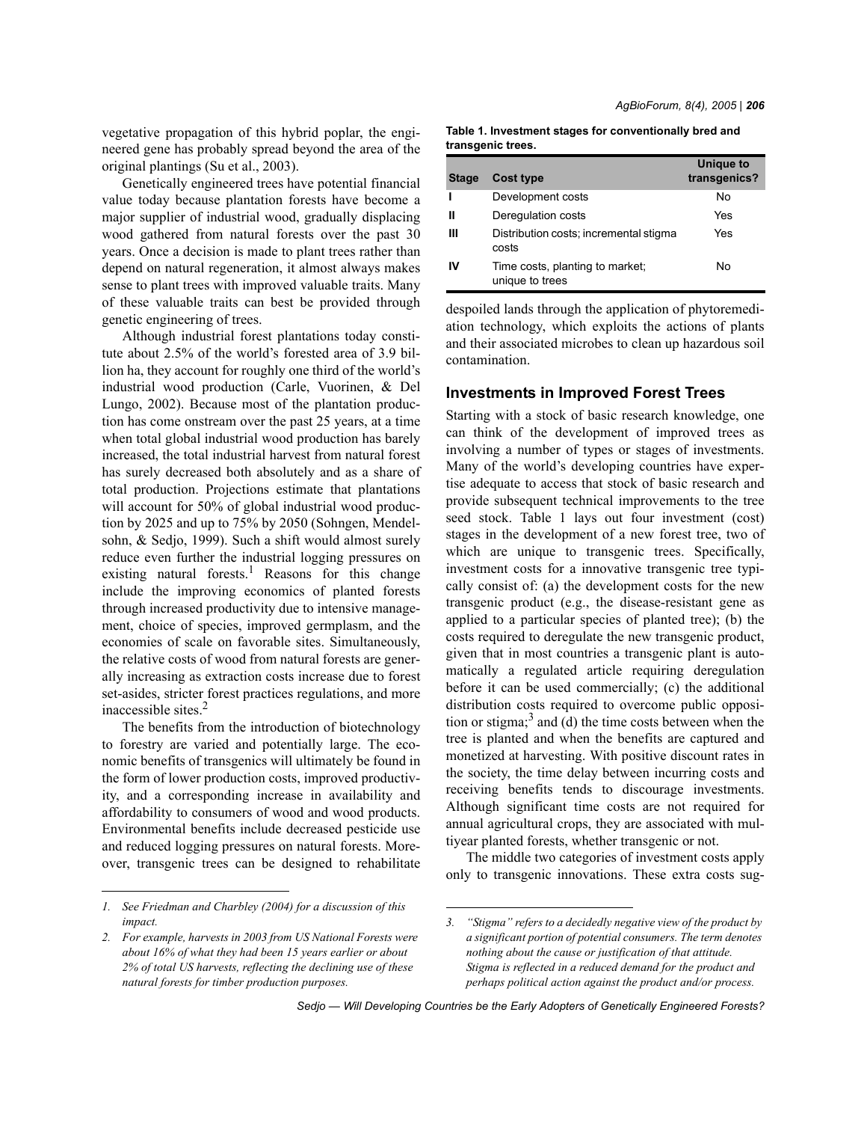*AgBioForum, 8(4), 2005 | 206*

vegetative propagation of this hybrid poplar, the engineered gene has probably spread beyond the area of the original plantings (Su et al., 2003).

Genetically engineered trees have potential financial value today because plantation forests have become a major supplier of industrial wood, gradually displacing wood gathered from natural forests over the past 30 years. Once a decision is made to plant trees rather than depend on natural regeneration, it almost always makes sense to plant trees with improved valuable traits. Many of these valuable traits can best be provided through genetic engineering of trees.

Although industrial forest plantations today constitute about 2.5% of the world's forested area of 3.9 billion ha, they account for roughly one third of the world's industrial wood production (Carle, Vuorinen, & Del Lungo, 2002). Because most of the plantation production has come onstream over the past 25 years, at a time when total global industrial wood production has barely increased, the total industrial harvest from natural forest has surely decreased both absolutely and as a share of total production. Projections estimate that plantations will account for 50% of global industrial wood production by 2025 and up to 75% by 2050 (Sohngen, Mendelsohn, & Sedjo, 1999). Such a shift would almost surely reduce even further the industrial logging pressures on existing natural forests.<sup>1</sup> Reasons for this change include the improving economics of planted forests through increased productivity due to intensive management, choice of species, improved germplasm, and the economies of scale on favorable sites. Simultaneously, the relative costs of wood from natural forests are generally increasing as extraction costs increase due to forest set-asides, stricter forest practices regulations, and more inaccessible sites.2

The benefits from the introduction of biotechnology to forestry are varied and potentially large. The economic benefits of transgenics will ultimately be found in the form of lower production costs, improved productivity, and a corresponding increase in availability and affordability to consumers of wood and wood products. Environmental benefits include decreased pesticide use and reduced logging pressures on natural forests. Moreover, transgenic trees can be designed to rehabilitate

**Table 1. Investment stages for conventionally bred and transgenic trees.**

| <b>Stage</b> | <b>Cost type</b>                                   | <b>Unique to</b><br>transgenics? |
|--------------|----------------------------------------------------|----------------------------------|
|              | Development costs                                  | No                               |
| Ш            | Deregulation costs                                 | Yes                              |
| Ш            | Distribution costs; incremental stigma<br>costs    | Yes                              |
| IV           | Time costs, planting to market;<br>unique to trees | No                               |

despoiled lands through the application of phytoremediation technology, which exploits the actions of plants and their associated microbes to clean up hazardous soil contamination.

### **Investments in Improved Forest Trees**

Starting with a stock of basic research knowledge, one can think of the development of improved trees as involving a number of types or stages of investments. Many of the world's developing countries have expertise adequate to access that stock of basic research and provide subsequent technical improvements to the tree seed stock. Table 1 lays out four investment (cost) stages in the development of a new forest tree, two of which are unique to transgenic trees. Specifically, investment costs for a innovative transgenic tree typically consist of: (a) the development costs for the new transgenic product (e.g., the disease-resistant gene as applied to a particular species of planted tree); (b) the costs required to deregulate the new transgenic product, given that in most countries a transgenic plant is automatically a regulated article requiring deregulation before it can be used commercially; (c) the additional distribution costs required to overcome public opposition or stigma; $3$  and (d) the time costs between when the tree is planted and when the benefits are captured and monetized at harvesting. With positive discount rates in the society, the time delay between incurring costs and receiving benefits tends to discourage investments. Although significant time costs are not required for annual agricultural crops, they are associated with multiyear planted forests, whether transgenic or not.

The middle two categories of investment costs apply only to transgenic innovations. These extra costs sug-

*<sup>1.</sup> See Friedman and Charbley (2004) for a discussion of this impact.*

*<sup>2.</sup> For example, harvests in 2003 from US National Forests were about 16% of what they had been 15 years earlier or about 2% of total US harvests, reflecting the declining use of these natural forests for timber production purposes.*

*<sup>3. &</sup>quot;Stigma" refers to a decidedly negative view of the product by a significant portion of potential consumers. The term denotes nothing about the cause or justification of that attitude. Stigma is reflected in a reduced demand for the product and perhaps political action against the product and/or process.*

*Sedjo — Will Developing Countries be the Early Adopters of Genetically Engineered Forests?*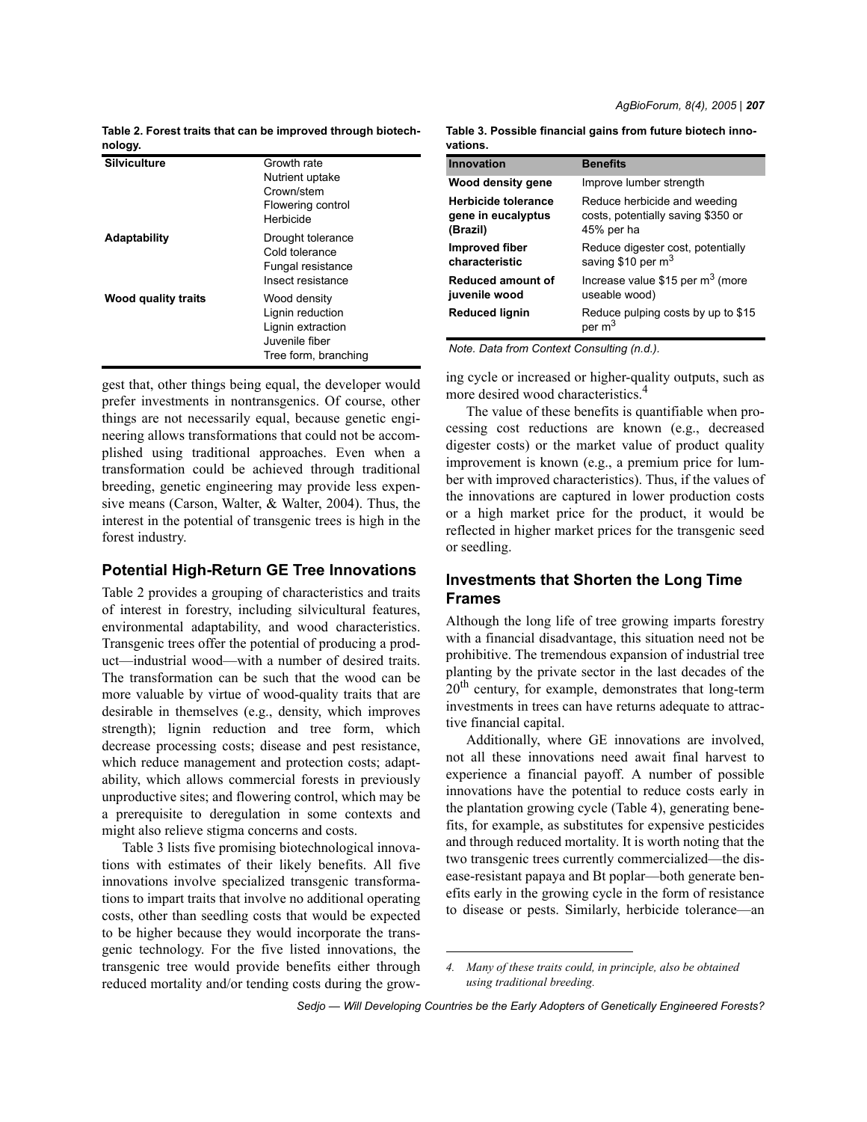*AgBioForum, 8(4), 2005 | 207*

**Table 2. Forest traits that can be improved through biotechnology.**

| ້                   |                                                                                                 |
|---------------------|-------------------------------------------------------------------------------------------------|
| <b>Silviculture</b> | Growth rate<br>Nutrient uptake<br>Crown/stem<br>Flowering control<br>Herbicide                  |
| Adaptability        | Drought tolerance<br>Cold tolerance<br>Fungal resistance<br>Insect resistance                   |
| Wood quality traits | Wood density<br>Lignin reduction<br>Lignin extraction<br>Juvenile fiber<br>Tree form, branching |

gest that, other things being equal, the developer would prefer investments in nontransgenics. Of course, other things are not necessarily equal, because genetic engineering allows transformations that could not be accomplished using traditional approaches. Even when a transformation could be achieved through traditional breeding, genetic engineering may provide less expensive means (Carson, Walter, & Walter, 2004). Thus, the interest in the potential of transgenic trees is high in the forest industry.

### **Potential High-Return GE Tree Innovations**

Table 2 provides a grouping of characteristics and traits of interest in forestry, including silvicultural features, environmental adaptability, and wood characteristics. Transgenic trees offer the potential of producing a product—industrial wood—with a number of desired traits. The transformation can be such that the wood can be more valuable by virtue of wood-quality traits that are desirable in themselves (e.g., density, which improves strength); lignin reduction and tree form, which decrease processing costs; disease and pest resistance, which reduce management and protection costs; adaptability, which allows commercial forests in previously unproductive sites; and flowering control, which may be a prerequisite to deregulation in some contexts and might also relieve stigma concerns and costs.

Table 3 lists five promising biotechnological innovations with estimates of their likely benefits. All five innovations involve specialized transgenic transformations to impart traits that involve no additional operating costs, other than seedling costs that would be expected to be higher because they would incorporate the transgenic technology. For the five listed innovations, the transgenic tree would provide benefits either through reduced mortality and/or tending costs during the grow-

| Table 3. Possible financial gains from future biotech inno- |  |
|-------------------------------------------------------------|--|
| vations.                                                    |  |

| Innovation            | <b>Benefits</b>                                |
|-----------------------|------------------------------------------------|
| Wood density gene     | Improve lumber strength                        |
| Herbicide tolerance   | Reduce herbicide and weeding                   |
| gene in eucalyptus    | costs, potentially saving \$350 or             |
| (Brazil)              | 45% per ha                                     |
| <b>Improved fiber</b> | Reduce digester cost, potentially              |
| characteristic        | saving \$10 per m <sup>3</sup>                 |
| Reduced amount of     | Increase value \$15 per $m3$ (more             |
| juvenile wood         | useable wood)                                  |
| Reduced lignin        | Reduce pulping costs by up to \$15<br>per $m3$ |

*Note. Data from Context Consulting (n.d.).*

ing cycle or increased or higher-quality outputs, such as more desired wood characteristics.<sup>4</sup>

The value of these benefits is quantifiable when processing cost reductions are known (e.g., decreased digester costs) or the market value of product quality improvement is known (e.g., a premium price for lumber with improved characteristics). Thus, if the values of the innovations are captured in lower production costs or a high market price for the product, it would be reflected in higher market prices for the transgenic seed or seedling.

# **Investments that Shorten the Long Time Frames**

Although the long life of tree growing imparts forestry with a financial disadvantage, this situation need not be prohibitive. The tremendous expansion of industrial tree planting by the private sector in the last decades of the  $20<sup>th</sup>$  century, for example, demonstrates that long-term investments in trees can have returns adequate to attractive financial capital.

Additionally, where GE innovations are involved, not all these innovations need await final harvest to experience a financial payoff. A number of possible innovations have the potential to reduce costs early in the plantation growing cycle (Table 4), generating benefits, for example, as substitutes for expensive pesticides and through reduced mortality. It is worth noting that the two transgenic trees currently commercialized—the disease-resistant papaya and Bt poplar—both generate benefits early in the growing cycle in the form of resistance to disease or pests. Similarly, herbicide tolerance—an

*<sup>4.</sup> Many of these traits could, in principle, also be obtained using traditional breeding.*

*Sedjo — Will Developing Countries be the Early Adopters of Genetically Engineered Forests?*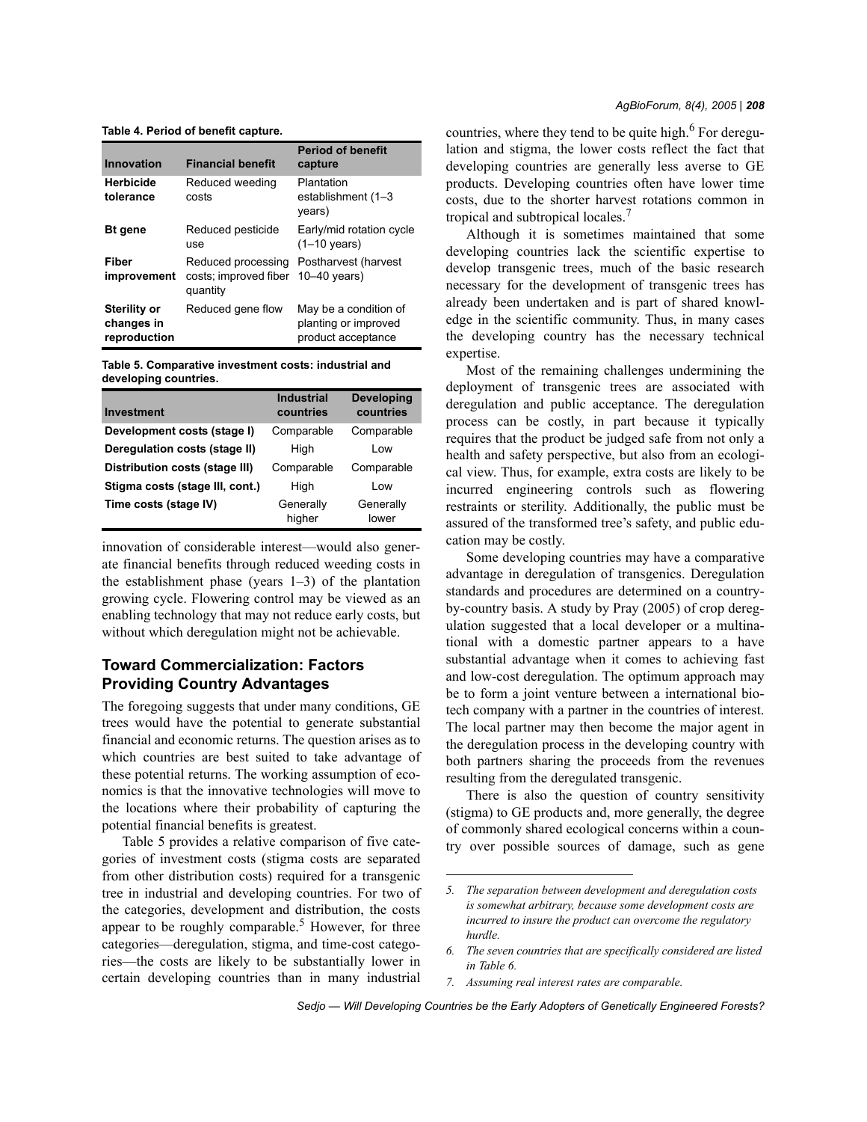**Table 4. Period of benefit capture.**

| Innovation                                        | <b>Financial benefit</b>                                | <b>Period of benefit</b><br>capture                                 |
|---------------------------------------------------|---------------------------------------------------------|---------------------------------------------------------------------|
| <b>Herbicide</b><br>tolerance                     | Reduced weeding<br>costs                                | Plantation<br>establishment (1-3<br>years)                          |
| <b>Bt</b> gene                                    | Reduced pesticide<br>use                                | Early/mid rotation cycle<br>$(1-10 \text{ years})$                  |
| Fiber<br>improvement                              | Reduced processing<br>costs; improved fiber<br>quantity | Postharvest (harvest<br>$10-40$ vears)                              |
| <b>Sterility or</b><br>changes in<br>reproduction | Reduced gene flow                                       | May be a condition of<br>planting or improved<br>product acceptance |

**Table 5. Comparative investment costs: industrial and developing countries.**

| <b>Investment</b>               | <b>Industrial</b><br>countries | <b>Developing</b><br>countries |
|---------------------------------|--------------------------------|--------------------------------|
| Development costs (stage I)     | Comparable                     | Comparable                     |
| Deregulation costs (stage II)   | High                           | Low                            |
| Distribution costs (stage III)  | Comparable                     | Comparable                     |
| Stigma costs (stage III, cont.) | High                           | Low                            |
| Time costs (stage IV)           | Generally<br>higher            | Generally<br>lower             |

innovation of considerable interest—would also generate financial benefits through reduced weeding costs in the establishment phase (years  $1-3$ ) of the plantation growing cycle. Flowering control may be viewed as an enabling technology that may not reduce early costs, but without which deregulation might not be achievable.

# **Toward Commercialization: Factors Providing Country Advantages**

The foregoing suggests that under many conditions, GE trees would have the potential to generate substantial financial and economic returns. The question arises as to which countries are best suited to take advantage of these potential returns. The working assumption of economics is that the innovative technologies will move to the locations where their probability of capturing the potential financial benefits is greatest.

Table 5 provides a relative comparison of five categories of investment costs (stigma costs are separated from other distribution costs) required for a transgenic tree in industrial and developing countries. For two of the categories, development and distribution, the costs appear to be roughly comparable.<sup>5</sup> However, for three categories—deregulation, stigma, and time-cost categories—the costs are likely to be substantially lower in certain developing countries than in many industrial

countries, where they tend to be quite high. $6$  For deregulation and stigma, the lower costs reflect the fact that developing countries are generally less averse to GE products. Developing countries often have lower time costs, due to the shorter harvest rotations common in tropical and subtropical locales.<sup>7</sup>

Although it is sometimes maintained that some developing countries lack the scientific expertise to develop transgenic trees, much of the basic research necessary for the development of transgenic trees has already been undertaken and is part of shared knowledge in the scientific community. Thus, in many cases the developing country has the necessary technical expertise.

Most of the remaining challenges undermining the deployment of transgenic trees are associated with deregulation and public acceptance. The deregulation process can be costly, in part because it typically requires that the product be judged safe from not only a health and safety perspective, but also from an ecological view. Thus, for example, extra costs are likely to be incurred engineering controls such as flowering restraints or sterility. Additionally, the public must be assured of the transformed tree's safety, and public education may be costly.

Some developing countries may have a comparative advantage in deregulation of transgenics. Deregulation standards and procedures are determined on a countryby-country basis. A study by Pray (2005) of crop deregulation suggested that a local developer or a multinational with a domestic partner appears to a have substantial advantage when it comes to achieving fast and low-cost deregulation. The optimum approach may be to form a joint venture between a international biotech company with a partner in the countries of interest. The local partner may then become the major agent in the deregulation process in the developing country with both partners sharing the proceeds from the revenues resulting from the deregulated transgenic.

There is also the question of country sensitivity (stigma) to GE products and, more generally, the degree of commonly shared ecological concerns within a country over possible sources of damage, such as gene

*7. Assuming real interest rates are comparable.*

*Sedjo — Will Developing Countries be the Early Adopters of Genetically Engineered Forests?*

*<sup>5.</sup> The separation between development and deregulation costs is somewhat arbitrary, because some development costs are incurred to insure the product can overcome the regulatory hurdle.*

*<sup>6.</sup> The seven countries that are specifically considered are listed in Table 6.*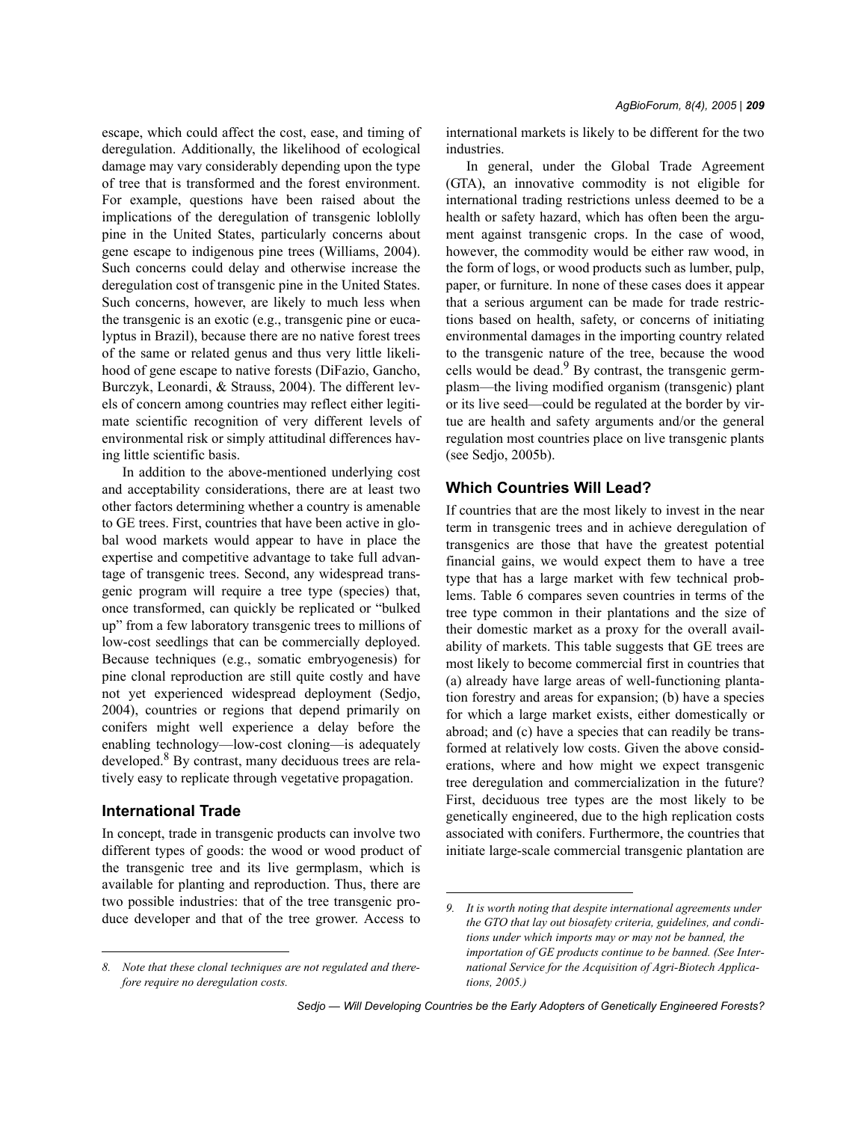escape, which could affect the cost, ease, and timing of deregulation. Additionally, the likelihood of ecological damage may vary considerably depending upon the type of tree that is transformed and the forest environment. For example, questions have been raised about the implications of the deregulation of transgenic loblolly pine in the United States, particularly concerns about gene escape to indigenous pine trees (Williams, 2004). Such concerns could delay and otherwise increase the deregulation cost of transgenic pine in the United States. Such concerns, however, are likely to much less when the transgenic is an exotic (e.g., transgenic pine or eucalyptus in Brazil), because there are no native forest trees of the same or related genus and thus very little likelihood of gene escape to native forests (DiFazio, Gancho, Burczyk, Leonardi, & Strauss, 2004). The different levels of concern among countries may reflect either legitimate scientific recognition of very different levels of environmental risk or simply attitudinal differences having little scientific basis.

In addition to the above-mentioned underlying cost and acceptability considerations, there are at least two other factors determining whether a country is amenable to GE trees. First, countries that have been active in global wood markets would appear to have in place the expertise and competitive advantage to take full advantage of transgenic trees. Second, any widespread transgenic program will require a tree type (species) that, once transformed, can quickly be replicated or "bulked up" from a few laboratory transgenic trees to millions of low-cost seedlings that can be commercially deployed. Because techniques (e.g., somatic embryogenesis) for pine clonal reproduction are still quite costly and have not yet experienced widespread deployment (Sedjo, 2004), countries or regions that depend primarily on conifers might well experience a delay before the enabling technology—low-cost cloning—is adequately developed.<sup>8</sup> By contrast, many deciduous trees are relatively easy to replicate through vegetative propagation.

### **International Trade**

In concept, trade in transgenic products can involve two different types of goods: the wood or wood product of the transgenic tree and its live germplasm, which is available for planting and reproduction. Thus, there are two possible industries: that of the tree transgenic produce developer and that of the tree grower. Access to international markets is likely to be different for the two industries.

In general, under the Global Trade Agreement (GTA), an innovative commodity is not eligible for international trading restrictions unless deemed to be a health or safety hazard, which has often been the argument against transgenic crops. In the case of wood, however, the commodity would be either raw wood, in the form of logs, or wood products such as lumber, pulp, paper, or furniture. In none of these cases does it appear that a serious argument can be made for trade restrictions based on health, safety, or concerns of initiating environmental damages in the importing country related to the transgenic nature of the tree, because the wood cells would be dead.<sup>9</sup> By contrast, the transgenic germplasm—the living modified organism (transgenic) plant or its live seed—could be regulated at the border by virtue are health and safety arguments and/or the general regulation most countries place on live transgenic plants (see Sedjo, 2005b).

### **Which Countries Will Lead?**

If countries that are the most likely to invest in the near term in transgenic trees and in achieve deregulation of transgenics are those that have the greatest potential financial gains, we would expect them to have a tree type that has a large market with few technical problems. Table 6 compares seven countries in terms of the tree type common in their plantations and the size of their domestic market as a proxy for the overall availability of markets. This table suggests that GE trees are most likely to become commercial first in countries that (a) already have large areas of well-functioning plantation forestry and areas for expansion; (b) have a species for which a large market exists, either domestically or abroad; and (c) have a species that can readily be transformed at relatively low costs. Given the above considerations, where and how might we expect transgenic tree deregulation and commercialization in the future? First, deciduous tree types are the most likely to be genetically engineered, due to the high replication costs associated with conifers. Furthermore, the countries that initiate large-scale commercial transgenic plantation are

*<sup>8.</sup> Note that these clonal techniques are not regulated and therefore require no deregulation costs.*

*<sup>9.</sup> It is worth noting that despite international agreements under the GTO that lay out biosafety criteria, guidelines, and conditions under which imports may or may not be banned, the importation of GE products continue to be banned. (See International Service for the Acquisition of Agri-Biotech Applications, 2005.)*

*Sedjo — Will Developing Countries be the Early Adopters of Genetically Engineered Forests?*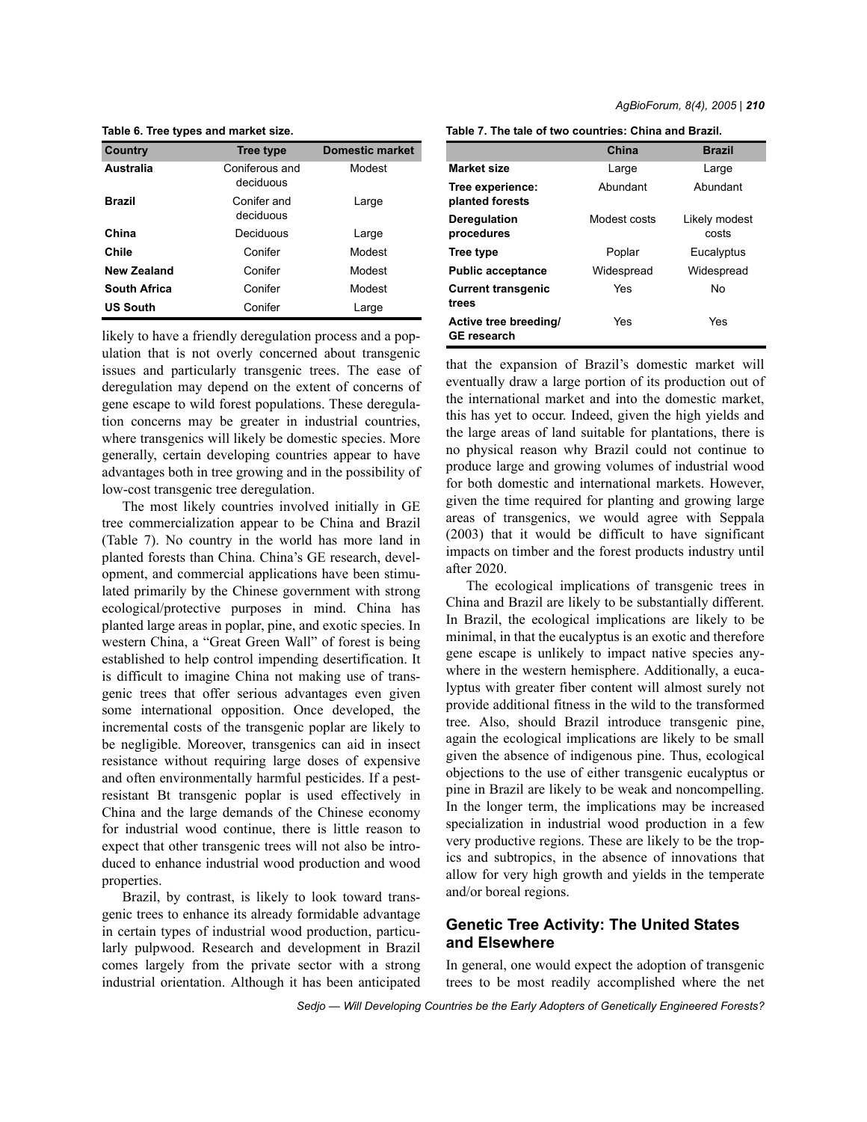| Country         | <b>Tree type</b>            | <b>Domestic market</b> |
|-----------------|-----------------------------|------------------------|
| Australia       | Coniferous and<br>deciduous | Modest                 |
| Brazil          | Conifer and<br>deciduous    | Large                  |
| China           | Deciduous                   | Large                  |
| Chile           | Conifer                     | Modest                 |
| New Zealand     | Conifer                     | Modest                 |
| South Africa    | Conifer                     | Modest                 |
| <b>US South</b> | Conifer                     | Large                  |

**Table 6. Tree types and market size.**

likely to have a friendly deregulation process and a population that is not overly concerned about transgenic issues and particularly transgenic trees. The ease of deregulation may depend on the extent of concerns of gene escape to wild forest populations. These deregulation concerns may be greater in industrial countries, where transgenics will likely be domestic species. More generally, certain developing countries appear to have advantages both in tree growing and in the possibility of low-cost transgenic tree deregulation.

The most likely countries involved initially in GE tree commercialization appear to be China and Brazil (Table 7). No country in the world has more land in planted forests than China. China's GE research, development, and commercial applications have been stimulated primarily by the Chinese government with strong ecological/protective purposes in mind. China has planted large areas in poplar, pine, and exotic species. In western China, a "Great Green Wall" of forest is being established to help control impending desertification. It is difficult to imagine China not making use of transgenic trees that offer serious advantages even given some international opposition. Once developed, the incremental costs of the transgenic poplar are likely to be negligible. Moreover, transgenics can aid in insect resistance without requiring large doses of expensive and often environmentally harmful pesticides. If a pestresistant Bt transgenic poplar is used effectively in China and the large demands of the Chinese economy for industrial wood continue, there is little reason to expect that other transgenic trees will not also be introduced to enhance industrial wood production and wood properties.

Brazil, by contrast, is likely to look toward transgenic trees to enhance its already formidable advantage in certain types of industrial wood production, particularly pulpwood. Research and development in Brazil comes largely from the private sector with a strong industrial orientation. Although it has been anticipated

**Table 7. The tale of two countries: China and Brazil.**

|                                             | China        | <b>Brazil</b>          |
|---------------------------------------------|--------------|------------------------|
| <b>Market size</b>                          | Large        | Large                  |
| Tree experience:<br>planted forests         | Abundant     | Abundant               |
| Deregulation<br>procedures                  | Modest costs | Likely modest<br>costs |
| Tree type                                   | Poplar       | Eucalyptus             |
| <b>Public acceptance</b>                    | Widespread   | Widespread             |
| <b>Current transgenic</b><br>trees          | Yes          | No                     |
| Active tree breeding/<br><b>GE research</b> | Yes          | Yes                    |

that the expansion of Brazil's domestic market will eventually draw a large portion of its production out of the international market and into the domestic market, this has yet to occur. Indeed, given the high yields and the large areas of land suitable for plantations, there is no physical reason why Brazil could not continue to produce large and growing volumes of industrial wood for both domestic and international markets. However, given the time required for planting and growing large areas of transgenics, we would agree with Seppala (2003) that it would be difficult to have significant impacts on timber and the forest products industry until after 2020.

The ecological implications of transgenic trees in China and Brazil are likely to be substantially different. In Brazil, the ecological implications are likely to be minimal, in that the eucalyptus is an exotic and therefore gene escape is unlikely to impact native species anywhere in the western hemisphere. Additionally, a eucalyptus with greater fiber content will almost surely not provide additional fitness in the wild to the transformed tree. Also, should Brazil introduce transgenic pine, again the ecological implications are likely to be small given the absence of indigenous pine. Thus, ecological objections to the use of either transgenic eucalyptus or pine in Brazil are likely to be weak and noncompelling. In the longer term, the implications may be increased specialization in industrial wood production in a few very productive regions. These are likely to be the tropics and subtropics, in the absence of innovations that allow for very high growth and yields in the temperate and/or boreal regions.

# **Genetic Tree Activity: The United States and Elsewhere**

In general, one would expect the adoption of transgenic trees to be most readily accomplished where the net

*Sedjo — Will Developing Countries be the Early Adopters of Genetically Engineered Forests?*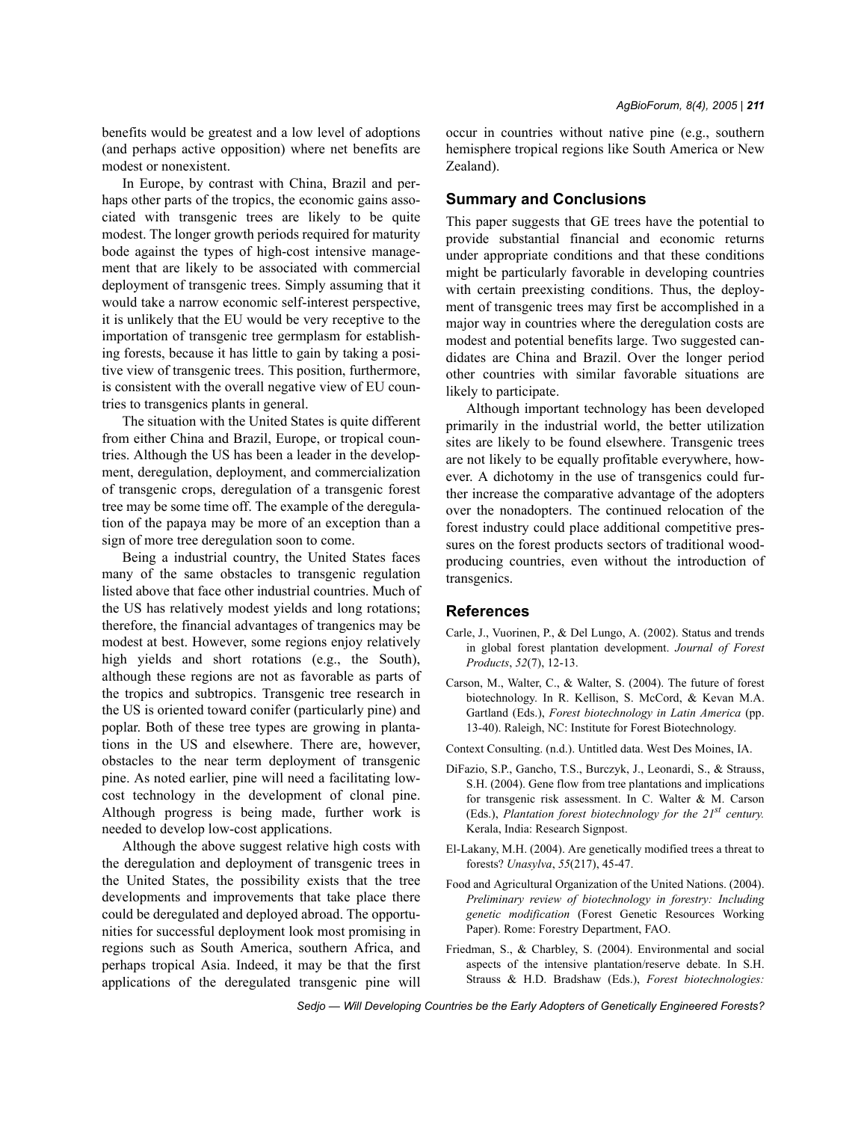benefits would be greatest and a low level of adoptions (and perhaps active opposition) where net benefits are modest or nonexistent.

In Europe, by contrast with China, Brazil and perhaps other parts of the tropics, the economic gains associated with transgenic trees are likely to be quite modest. The longer growth periods required for maturity bode against the types of high-cost intensive management that are likely to be associated with commercial deployment of transgenic trees. Simply assuming that it would take a narrow economic self-interest perspective, it is unlikely that the EU would be very receptive to the importation of transgenic tree germplasm for establishing forests, because it has little to gain by taking a positive view of transgenic trees. This position, furthermore, is consistent with the overall negative view of EU countries to transgenics plants in general.

The situation with the United States is quite different from either China and Brazil, Europe, or tropical countries. Although the US has been a leader in the development, deregulation, deployment, and commercialization of transgenic crops, deregulation of a transgenic forest tree may be some time off. The example of the deregulation of the papaya may be more of an exception than a sign of more tree deregulation soon to come.

Being a industrial country, the United States faces many of the same obstacles to transgenic regulation listed above that face other industrial countries. Much of the US has relatively modest yields and long rotations; therefore, the financial advantages of trangenics may be modest at best. However, some regions enjoy relatively high yields and short rotations (e.g., the South), although these regions are not as favorable as parts of the tropics and subtropics. Transgenic tree research in the US is oriented toward conifer (particularly pine) and poplar. Both of these tree types are growing in plantations in the US and elsewhere. There are, however, obstacles to the near term deployment of transgenic pine. As noted earlier, pine will need a facilitating lowcost technology in the development of clonal pine. Although progress is being made, further work is needed to develop low-cost applications.

Although the above suggest relative high costs with the deregulation and deployment of transgenic trees in the United States, the possibility exists that the tree developments and improvements that take place there could be deregulated and deployed abroad. The opportunities for successful deployment look most promising in regions such as South America, southern Africa, and perhaps tropical Asia. Indeed, it may be that the first applications of the deregulated transgenic pine will occur in countries without native pine (e.g., southern hemisphere tropical regions like South America or New Zealand).

### **Summary and Conclusions**

This paper suggests that GE trees have the potential to provide substantial financial and economic returns under appropriate conditions and that these conditions might be particularly favorable in developing countries with certain preexisting conditions. Thus, the deployment of transgenic trees may first be accomplished in a major way in countries where the deregulation costs are modest and potential benefits large. Two suggested candidates are China and Brazil. Over the longer period other countries with similar favorable situations are likely to participate.

Although important technology has been developed primarily in the industrial world, the better utilization sites are likely to be found elsewhere. Transgenic trees are not likely to be equally profitable everywhere, however. A dichotomy in the use of transgenics could further increase the comparative advantage of the adopters over the nonadopters. The continued relocation of the forest industry could place additional competitive pressures on the forest products sectors of traditional woodproducing countries, even without the introduction of transgenics.

#### **References**

- Carle, J., Vuorinen, P., & Del Lungo, A. (2002). Status and trends in global forest plantation development. *Journal of Forest Products*, *52*(7), 12-13.
- Carson, M., Walter, C., & Walter, S. (2004). The future of forest biotechnology. In R. Kellison, S. McCord, & Kevan M.A. Gartland (Eds.), *Forest biotechnology in Latin America* (pp. 13-40). Raleigh, NC: Institute for Forest Biotechnology.
- Context Consulting. (n.d.). Untitled data. West Des Moines, IA.
- DiFazio, S.P., Gancho, T.S., Burczyk, J., Leonardi, S., & Strauss, S.H. (2004). Gene flow from tree plantations and implications for transgenic risk assessment. In C. Walter & M. Carson (Eds.), *Plantation forest biotechnology for the 21st century.* Kerala, India: Research Signpost.
- El-Lakany, M.H. (2004). Are genetically modified trees a threat to forests? *Unasylva*, *55*(217), 45-47.
- Food and Agricultural Organization of the United Nations. (2004). *Preliminary review of biotechnology in forestry: Including genetic modification* (Forest Genetic Resources Working Paper). Rome: Forestry Department, FAO.
- Friedman, S., & Charbley, S. (2004). Environmental and social aspects of the intensive plantation/reserve debate. In S.H. Strauss & H.D. Bradshaw (Eds.), *Forest biotechnologies:*

*Sedjo — Will Developing Countries be the Early Adopters of Genetically Engineered Forests?*